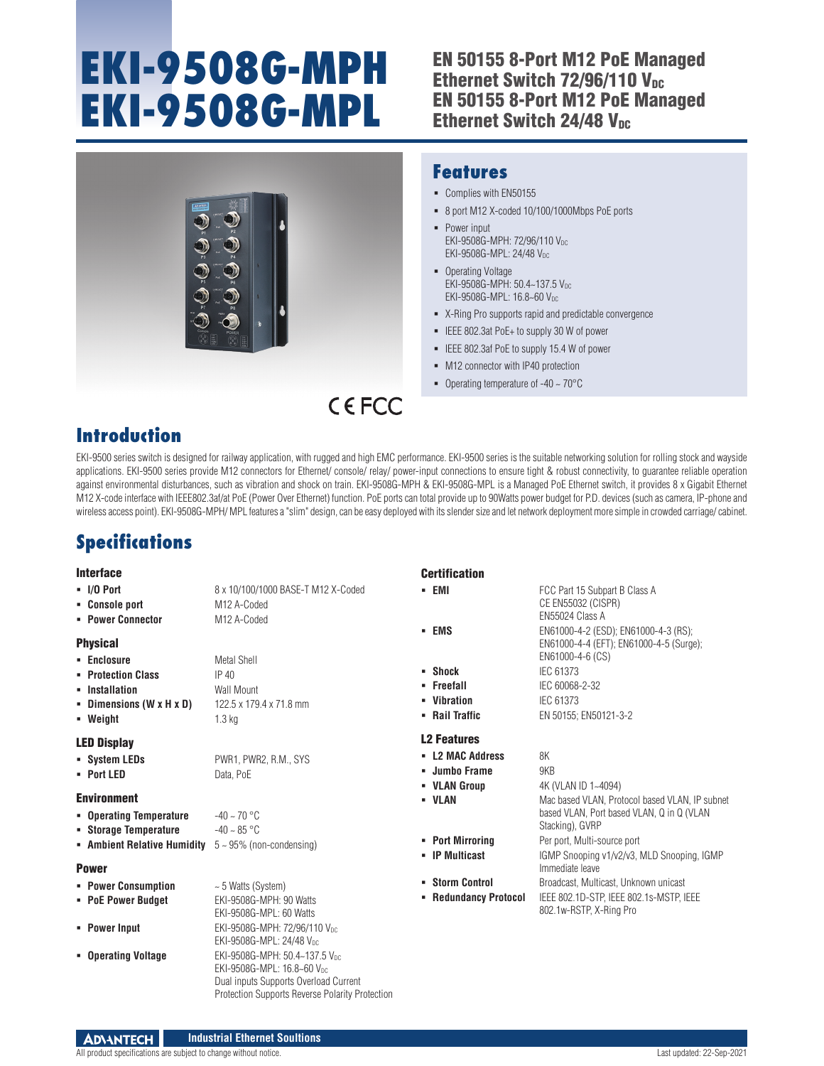# **EKI-9508G-MPH EKI-9508G-MPL**

## EN 50155 8-Port M12 PoE Managed Ethernet Switch 72/96/110 V<sub>DC</sub> EN 50155 8-Port M12 PoE Managed Ethernet Switch  $24/48$  V<sub>DC</sub>



### **Features**

- Complies with EN50155
- 8 port M12 X-coded 10/100/1000Mbps PoE ports
- Power input EKI-9508G-MPH: 72/96/110 Vpc EKI-9508G-MPL: 24/48 VDC
- Operating Voltage EKI-9508G-MPH: 50.4~137.5 V<sub>DC</sub> EKI-9508G-MPL: 16.8~60 V<sub>DC</sub>
- X-Ring Pro supports rapid and predictable convergence
- IEEE 802.3at PoE+ to supply 30 W of power
- **ELEE 802.3af PoE to supply 15.4 W of power**
- $-M12$  connector with IP40 protection
- Operating temperature of  $-40 \sim 70^{\circ}$ C

## $C$  $F$  $C$  $C$

## **Introduction**

EKI-9500 series switch is designed for railway application, with rugged and high EMC performance. EKI-9500 series is the suitable networking solution for rolling stock and wayside applications. EKI-9500 series provide M12 connectors for Ethernet/ console/ relay/ power-input connections to ensure tight & robust connectivity, to guarantee reliable operation against environmental disturbances, such as vibration and shock on train. EKI-9508G-MPH & EKI-9508G-MPL is a Managed PoE Ethernet switch, it provides 8 x Gigabit Ethernet M12 X-code interface with IEEE802.3af/at PoE (Power Over Ethernet) function. PoE ports can total provide up to 90Watts power budget for P.D. devices (such as camera, IP-phone and wireless access point). EKI-9508G-MPH/ MPL features a "slim" design, can be easy deployed with its slender size and let network deployment more simple in crowded carriage/ cabinet.

## **Specifications**

#### Interface

| $\blacksquare$ I/O Port | 8 x 10/100/10           |
|-------------------------|-------------------------|
| • Console port          | M <sub>12</sub> A-Coded |

**Power Connector** M12 A-Coded

#### Physical

- **Enclosure** Metal Shell **Protection Class** IP 40 **Installation Wall Mount**
- **Dimensions (W x H x D)** 122.5 x 179.4 x 71.8 mm **Weight** 1.3 kg

#### LED Display

**System LEDs** PWR1, PWR2, R.M., SYS **Port LED** Data, PoE

#### Environment

- **Operating Temperature** -40 ~ 70 °C **Storage Temperature**  $-40 \sim 85 \text{ °C}$
- **Ambient Relative Humidity** 5 ~ 95% (non-condensing)

#### Power

**Power Consumption**  $\sim$  5 Watts (System) **PoE Power Budget** EKI-9508G-MPH: 90 Watts EKI-9508G-MPL: 60 Watts **Power Input** EKI-9508G-MPH: 72/96/110 V<sub>DC</sub> EKI-9508G-MPL: 24/48 VDC **Derating Voltage** EKI-9508G-MPH: 50.4~137.5 V<sub>DC</sub> EKI-9508G-MPL: 16.8~60 V<sub>DC</sub>

#### Dual inputs Supports Overload Current Protection Supports Reverse Polarity Protection

**I/O Port** 8 x 10/100/1000 BASE-T M12 X-Coded

| <b>Certification</b> |
|----------------------|
|----------------------|

- **EMI FCC Part 15 Subpart B Class A EMS** EN61000-4-2 (ESD); EN61000-4-3 (RS);
- **Shock** IEC 61373
- **Freefall** IEC 60068-2-32
- **Vibration** IEC 61373
- **Rail Traffic** EN 50155; EN50121-3-2

#### L2 Features

- **L2 MAC Address** 8K
- **Jumbo Frame** 9KB
- **VLAN Group** 4K (VLAN ID 1~4094)
- **VLAN** Mac based VLAN, Protocol based VLAN, IP subnet
- 
- 
- 
- 
- 

#### Stacking), GVRP **Port Mirroring** Per port, Multi-source port **IP Multicast** IGMP Snooping v1/v2/v3, MLD Snooping, IGMP Immediate leave **Storm Control** Broadcast, Multicast, Unknown unicast

based VLAN, Port based VLAN, Q in Q (VLAN

EN61000-4-4 (EFT); EN61000-4-5 (Surge);

 **Redundancy Protocol** IEEE 802.1D-STP, IEEE 802.1s-MSTP, IEEE 802.1w-RSTP, X-Ring Pro

CE EN55032 (CISPR) EN55024 Class A

EN61000-4-6 (CS)